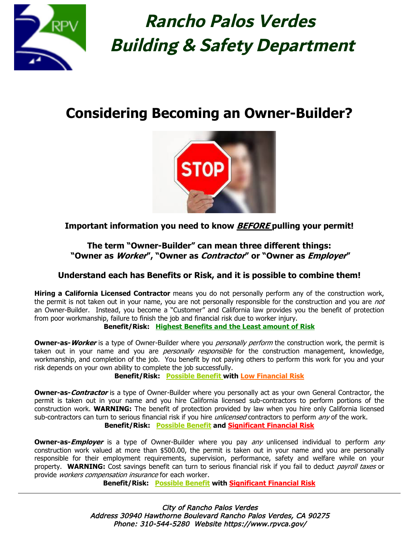

# **Rancho Palos Verdes Building & Safety Department**

# Considering Becoming an Owner-Builder?



### Important information you need to know BEFORE pulling your permit!

### The term "Owner-Builder" can mean three different things: "Owner as *Worker"*, "Owner as *Contractor"* or "Owner as *Employer"*

## Understand each has Benefits or Risk, and it is possible to combine them!

**Hiring a California Licensed Contractor** means you do not personally perform any of the construction work, the permit is not taken out in your name, you are not personally responsible for the construction and you are not an Owner-Builder. Instead, you become a "Customer" and California law provides you the benefit of protection from poor workmanship, failure to finish the job and financial risk due to worker injury.

Benefit/Risk: Highest Benefits and the Least amount of Risk

Owner-as-Worker is a type of Owner-Builder where you *personally perform* the construction work, the permit is taken out in your name and you are *personally responsible* for the construction management, knowledge, workmanship, and completion of the job. You benefit by not paying others to perform this work for you and your risk depends on your own ability to complete the job successfully.

Benefit/Risk: Possible Benefit with Low Financial Risk

**Owner-as-Contractor** is a type of Owner-Builder where you personally act as your own General Contractor, the permit is taken out in your name and you hire California licensed sub-contractors to perform portions of the construction work. **WARNING:** The benefit of protection provided by law when you hire only California licensed sub-contractors can turn to serious financial risk if you hire *unlicensed* contractors to perform any of the work. Benefit/Risk: Possible Benefit and Significant Financial Risk

**Owner-as-Employer** is a type of Owner-Builder where you pay any unlicensed individual to perform any construction work valued at more than \$500.00, the permit is taken out in your name and you are personally responsible for their employment requirements, supervision, performance, safety and welfare while on your property. WARNING: Cost savings benefit can turn to serious financial risk if you fail to deduct payroll taxes or provide workers compensation insurance for each worker.

Benefit/Risk: Possible Benefit with Significant Financial Risk

City of Rancho Palos Verdes Address 30940 Hawthorne Boulevard Rancho Palos Verdes, CA 90275 Phone: 310-544-5280 Website https://www.rpvca.gov/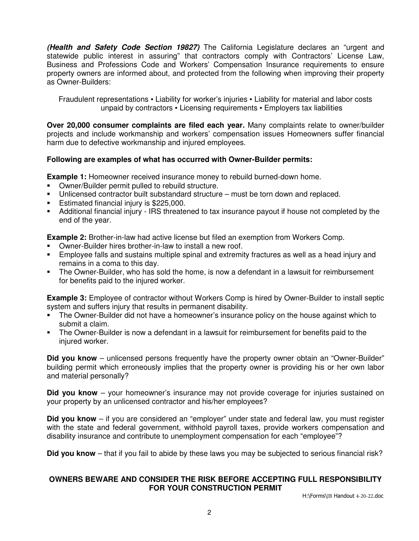**(Health and Safety Code Section 19827)** The California Legislature declares an "urgent and statewide public interest in assuring" that contractors comply with Contractors' License Law, Business and Professions Code and Workers' Compensation Insurance requirements to ensure property owners are informed about, and protected from the following when improving their property as Owner-Builders:

Fraudulent representations ▪ Liability for worker's injuries ▪ Liability for material and labor costs unpaid by contractors ▪ Licensing requirements ▪ Employers tax liabilities

**Over 20,000 consumer complaints are filed each year.** Many complaints relate to owner/builder projects and include workmanship and workers' compensation issues Homeowners suffer financial harm due to defective workmanship and injured employees.

#### **Following are examples of what has occurred with Owner-Builder permits:**

**Example 1:** Homeowner received insurance money to rebuild burned-down home.

- Owner/Builder permit pulled to rebuild structure.
- Unlicensed contractor built substandard structure must be torn down and replaced.
- **Estimated financial injury is \$225,000.**
- Additional financial injury IRS threatened to tax insurance payout if house not completed by the end of the year.

**Example 2:** Brother-in-law had active license but filed an exemption from Workers Comp.

- Owner-Builder hires brother-in-law to install a new roof.
- Employee falls and sustains multiple spinal and extremity fractures as well as a head injury and remains in a coma to this day.
- The Owner-Builder, who has sold the home, is now a defendant in a lawsuit for reimbursement for benefits paid to the injured worker.

**Example 3:** Employee of contractor without Workers Comp is hired by Owner-Builder to install septic system and suffers injury that results in permanent disability.

- The Owner-Builder did not have a homeowner's insurance policy on the house against which to submit a claim.
- The Owner-Builder is now a defendant in a lawsuit for reimbursement for benefits paid to the injured worker.

**Did you know** – unlicensed persons frequently have the property owner obtain an "Owner-Builder" building permit which erroneously implies that the property owner is providing his or her own labor and material personally?

**Did you know** – your homeowner's insurance may not provide coverage for injuries sustained on your property by an unlicensed contractor and his/her employees?

**Did you know** – if you are considered an "employer" under state and federal law, you must register with the state and federal government, withhold payroll taxes, provide workers compensation and disability insurance and contribute to unemployment compensation for each "employee"?

**Did you know** – that if you fail to abide by these laws you may be subjected to serious financial risk?

#### **OWNERS BEWARE AND CONSIDER THE RISK BEFORE ACCEPTING FULL RESPONSIBILITY FOR YOUR CONSTRUCTION PERMIT**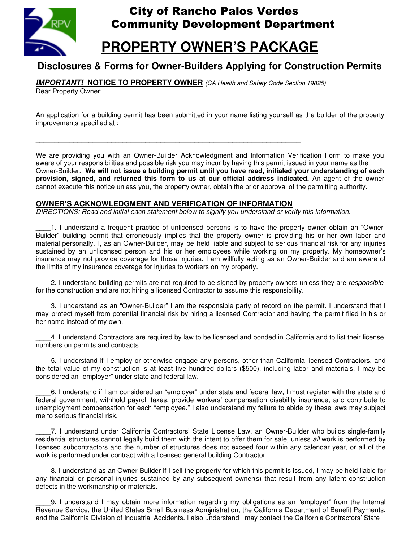

# City of Rancho Palos Verdes Community Development Department

# **PROPERTY OWNER'S PACKAGE**

# **Disclosures & Forms for Owner-Builders Applying for Construction Permits**

**IMPORTANT! NOTICE TO PROPERTY OWNER** (CA Health and Safety Code Section 19825) Dear Property Owner:

An application for a building permit has been submitted in your name listing yourself as the builder of the property improvements specified at :

We are providing you with an Owner-Builder Acknowledgment and Information Verification Form to make you aware of your responsibilities and possible risk you may incur by having this permit issued in your name as the Owner-Builder. **We will not issue a building permit until you have read, initialed your understanding of each provision, signed, and returned this form to us at our official address indicated.** An agent of the owner cannot execute this notice unless you, the property owner, obtain the prior approval of the permitting authority.

#### **OWNER'S ACKNOWLEDGMENT AND VERIFICATION OF INFORMATION**

\_\_\_\_\_\_\_\_\_\_\_\_\_\_\_\_\_\_\_\_\_\_\_\_\_\_\_\_\_\_\_\_\_\_\_\_\_\_\_\_\_\_\_\_\_\_\_\_\_\_\_\_\_\_\_\_\_\_\_\_\_\_\_\_\_\_\_\_\_\_.

DIRECTIONS: Read and initial each statement below to signify you understand or verify this information.

\_\_\_\_1. I understand a frequent practice of unlicensed persons is to have the property owner obtain an "Owner-Builder" building permit that erroneously implies that the property owner is providing his or her own labor and material personally. I, as an Owner-Builder, may be held liable and subject to serious financial risk for any injuries sustained by an unlicensed person and his or her employees while working on my property. My homeowner's insurance may not provide coverage for those injuries. I am willfully acting as an Owner-Builder and am aware of the limits of my insurance coverage for injuries to workers on my property.

2. I understand building permits are not required to be signed by property owners unless they are responsible for the construction and are not hiring a licensed Contractor to assume this responsibility.

\_\_\_\_3. I understand as an "Owner-Builder" I am the responsible party of record on the permit. I understand that I may protect myself from potential financial risk by hiring a licensed Contractor and having the permit filed in his or her name instead of my own.

\_\_\_\_4. I understand Contractors are required by law to be licensed and bonded in California and to list their license numbers on permits and contracts.

\_\_\_\_5. I understand if I employ or otherwise engage any persons, other than California licensed Contractors, and the total value of my construction is at least five hundred dollars (\$500), including labor and materials, I may be considered an "employer" under state and federal law.

\_\_\_\_6. I understand if I am considered an "employer" under state and federal law, I must register with the state and federal government, withhold payroll taxes, provide workers' compensation disability insurance, and contribute to unemployment compensation for each "employee." I also understand my failure to abide by these laws may subject me to serious financial risk.

\_\_\_\_7. I understand under California Contractors' State License Law, an Owner-Builder who builds single-family residential structures cannot legally build them with the intent to offer them for sale, unless all work is performed by licensed subcontractors and the number of structures does not exceed four within any calendar year, or all of the work is performed under contract with a licensed general building Contractor.

8. I understand as an Owner-Builder if I sell the property for which this permit is issued, I may be held liable for any financial or personal injuries sustained by any subsequent owner(s) that result from any latent construction defects in the workmanship or materials.

Revenue Service, the United States Small Business Administration, the California Department of Benefit Payments, 9. I understand I may obtain more information regarding my obligations as an "employer" from the Internal and the California Division of Industrial Accidents. I also understand I may contact the California Contractors' State